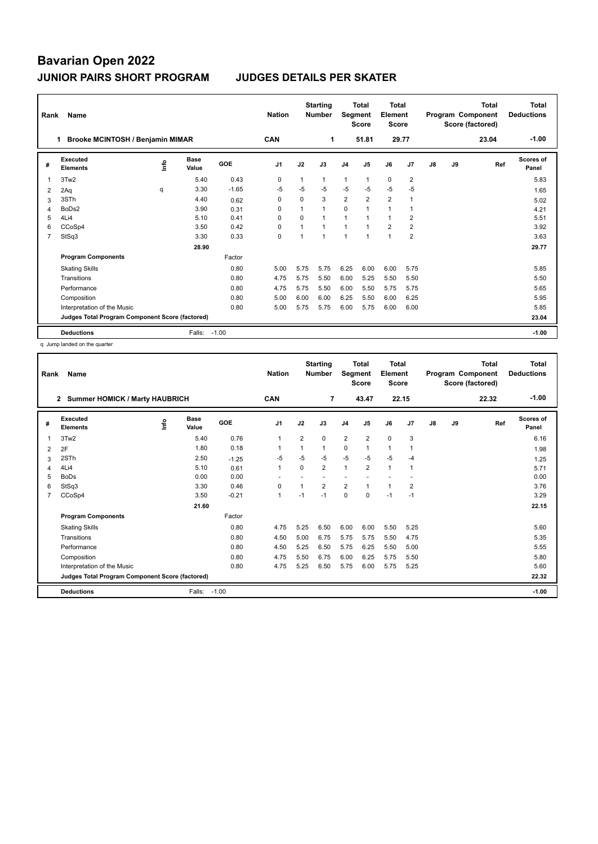| Rank                                            | Name                                  |    |                      |            | <b>Nation</b>  |          | <b>Starting</b><br><b>Number</b> | Segment        | <b>Total</b><br><b>Score</b> | <b>Total</b><br>Element<br><b>Score</b> |                |               |       | <b>Total</b><br>Program Component<br>Score (factored) | Total<br><b>Deductions</b> |
|-------------------------------------------------|---------------------------------------|----|----------------------|------------|----------------|----------|----------------------------------|----------------|------------------------------|-----------------------------------------|----------------|---------------|-------|-------------------------------------------------------|----------------------------|
|                                                 | Brooke MCINTOSH / Benjamin MIMAR<br>1 |    |                      |            | <b>CAN</b>     |          | 1                                |                | 51.81                        | 29.77                                   |                |               |       | 23.04                                                 | $-1.00$                    |
| #                                               | Executed<br><b>Elements</b>           | ۴٥ | <b>Base</b><br>Value | <b>GOE</b> | J <sub>1</sub> | J2       | J3                               | J <sub>4</sub> | J <sub>5</sub>               | J6                                      | J <sub>7</sub> | $\mathsf{J}8$ | J9    | Ref                                                   | Scores of<br>Panel         |
| 1                                               | 3Tw2                                  |    | 5.40                 | 0.43       | $\mathbf 0$    |          | 1                                | $\mathbf{1}$   | 1                            | $\mathbf 0$                             | $\overline{2}$ |               |       |                                                       | 5.83                       |
| 2                                               | 2Aq                                   | q  | 3.30                 | $-1.65$    | $-5$           | $-5$     | $-5$                             | $-5$           | $-5$                         | $-5$                                    | $-5$           |               |       |                                                       | 1.65                       |
| 3                                               | 3STh                                  |    | 4.40                 | 0.62       | 0              | $\Omega$ | 3                                | $\overline{2}$ | $\overline{2}$               | $\overline{2}$                          | 1              |               |       |                                                       | 5.02                       |
| 4                                               | BoDs2                                 |    | 3.90                 | 0.31       | $\Omega$       |          | $\mathbf{1}$                     | $\mathbf 0$    | 1                            | 1                                       | $\overline{1}$ |               |       |                                                       | 4.21                       |
| 5                                               | 4Li4                                  |    | 5.10                 | 0.41       | 0              | $\Omega$ | $\mathbf{1}$                     | $\mathbf{1}$   | $\mathbf{1}$                 | $\mathbf{1}$                            | $\overline{2}$ |               |       |                                                       | 5.51                       |
| 6                                               | CCoSp4                                |    | 3.50                 | 0.42       | 0              |          | $\mathbf{1}$                     | $\mathbf{1}$   | $\mathbf{1}$                 | $\overline{2}$                          | $\overline{2}$ |               |       |                                                       | 3.92                       |
| 7                                               | StSq3                                 |    | 3.30                 | 0.33       | 0              |          | $\overline{1}$                   | $\overline{1}$ | $\mathbf{1}$                 | $\mathbf{1}$                            | $\overline{2}$ |               |       |                                                       | 3.63                       |
|                                                 |                                       |    | 28.90                |            |                |          |                                  |                |                              |                                         |                |               |       |                                                       | 29.77                      |
|                                                 | <b>Program Components</b>             |    |                      | Factor     |                |          |                                  |                |                              |                                         |                |               |       |                                                       |                            |
|                                                 | <b>Skating Skills</b>                 |    |                      | 0.80       | 5.00           | 5.75     | 5.75                             | 6.25           | 6.00                         | 6.00                                    | 5.75           |               |       |                                                       | 5.85                       |
|                                                 | Transitions                           |    |                      | 0.80       | 4.75           | 5.75     | 5.50                             | 6.00           | 5.25                         | 5.50                                    | 5.50           |               |       |                                                       | 5.50                       |
|                                                 | Performance                           |    |                      | 0.80       | 4.75           | 5.75     | 5.50                             | 6.00           | 5.50                         | 5.75                                    | 5.75           |               |       |                                                       | 5.65                       |
|                                                 | Composition                           |    |                      | 0.80       | 5.00           | 6.00     | 6.00                             | 6.25           | 5.50                         | 6.00                                    | 6.25           |               |       |                                                       | 5.95                       |
|                                                 | Interpretation of the Music           |    |                      | 0.80       | 5.00           | 5.75     | 5.75                             | 6.00           | 5.75                         | 6.00                                    | 6.00           |               |       |                                                       | 5.85                       |
| Judges Total Program Component Score (factored) |                                       |    |                      |            |                |          |                                  |                |                              |                                         |                |               | 23.04 |                                                       |                            |
|                                                 | <b>Deductions</b>                     |    | Falls:               | $-1.00$    |                |          |                                  |                |                              |                                         |                |               |       |                                                       | $-1.00$                    |

q Jump landed on the quarter

| Rank           | Name                                                  |      |               |         | <b>Nation</b>  |                | <b>Starting</b><br><b>Number</b> | Segment        | Total<br><b>Score</b> | <b>Total</b><br>Element<br><b>Score</b> |                |    |    | <b>Total</b><br>Program Component<br>Score (factored) | <b>Total</b><br><b>Deductions</b> |
|----------------|-------------------------------------------------------|------|---------------|---------|----------------|----------------|----------------------------------|----------------|-----------------------|-----------------------------------------|----------------|----|----|-------------------------------------------------------|-----------------------------------|
|                | <b>Summer HOMICK / Marty HAUBRICH</b><br>$\mathbf{2}$ |      |               |         | CAN            |                | $\overline{7}$                   |                | 43.47                 | 22.15                                   |                |    |    | 22.32                                                 | $-1.00$                           |
| #              | Executed<br><b>Elements</b>                           | ١nf٥ | Base<br>Value | GOE     | J <sub>1</sub> | J2             | J3                               | J <sub>4</sub> | J <sub>5</sub>        | J6                                      | J7             | J8 | J9 | Ref                                                   | Scores of<br>Panel                |
| 1              | 3Tw2                                                  |      | 5.40          | 0.76    | 1              | $\overline{2}$ | 0                                | $\overline{2}$ | $\overline{2}$        | $\mathbf 0$                             | 3              |    |    |                                                       | 6.16                              |
| 2              | 2F                                                    |      | 1.80          | 0.18    | 1              |                | 1                                | $\mathbf 0$    | $\mathbf{1}$          | $\mathbf{1}$                            | 1              |    |    |                                                       | 1.98                              |
| 3              | 2STh                                                  |      | 2.50          | $-1.25$ | -5             | $-5$           | -5                               | $-5$           | $-5$                  | -5                                      | $-4$           |    |    |                                                       | 1.25                              |
| 4              | 4Li4                                                  |      | 5.10          | 0.61    | $\mathbf{1}$   | $\Omega$       | 2                                | $\overline{1}$ | $\overline{2}$        | $\mathbf{1}$                            | $\overline{1}$ |    |    |                                                       | 5.71                              |
| 5              | <b>BoDs</b>                                           |      | 0.00          | 0.00    |                |                |                                  |                |                       |                                         |                |    |    |                                                       | 0.00                              |
| 6              | StSq3                                                 |      | 3.30          | 0.46    | 0              |                | $\overline{2}$                   | $\overline{2}$ | $\mathbf{1}$          | $\mathbf{1}$                            | $\overline{2}$ |    |    |                                                       | 3.76                              |
| $\overline{7}$ | CCoSp4                                                |      | 3.50          | $-0.21$ | $\overline{1}$ | $-1$           | $-1$                             | $\Omega$       | $\Omega$              | $-1$                                    | $-1$           |    |    |                                                       | 3.29                              |
|                |                                                       |      | 21.60         |         |                |                |                                  |                |                       |                                         |                |    |    |                                                       | 22.15                             |
|                | <b>Program Components</b>                             |      |               | Factor  |                |                |                                  |                |                       |                                         |                |    |    |                                                       |                                   |
|                | <b>Skating Skills</b>                                 |      |               | 0.80    | 4.75           | 5.25           | 6.50                             | 6.00           | 6.00                  | 5.50                                    | 5.25           |    |    |                                                       | 5.60                              |
|                | Transitions                                           |      |               | 0.80    | 4.50           | 5.00           | 6.75                             | 5.75           | 5.75                  | 5.50                                    | 4.75           |    |    |                                                       | 5.35                              |
|                | Performance                                           |      |               | 0.80    | 4.50           | 5.25           | 6.50                             | 5.75           | 6.25                  | 5.50                                    | 5.00           |    |    |                                                       | 5.55                              |
|                | Composition                                           |      |               | 0.80    | 4.75           | 5.50           | 6.75                             | 6.00           | 6.25                  | 5.75                                    | 5.50           |    |    |                                                       | 5.80                              |
|                | Interpretation of the Music                           |      |               | 0.80    | 4.75           | 5.25           | 6.50                             | 5.75           | 6.00                  | 5.75                                    | 5.25           |    |    |                                                       | 5.60                              |
|                | Judges Total Program Component Score (factored)       |      |               |         |                |                |                                  |                |                       |                                         |                |    |    |                                                       | 22.32                             |
|                | <b>Deductions</b>                                     |      | Falls:        | $-1.00$ |                |                |                                  |                |                       |                                         |                |    |    |                                                       | $-1.00$                           |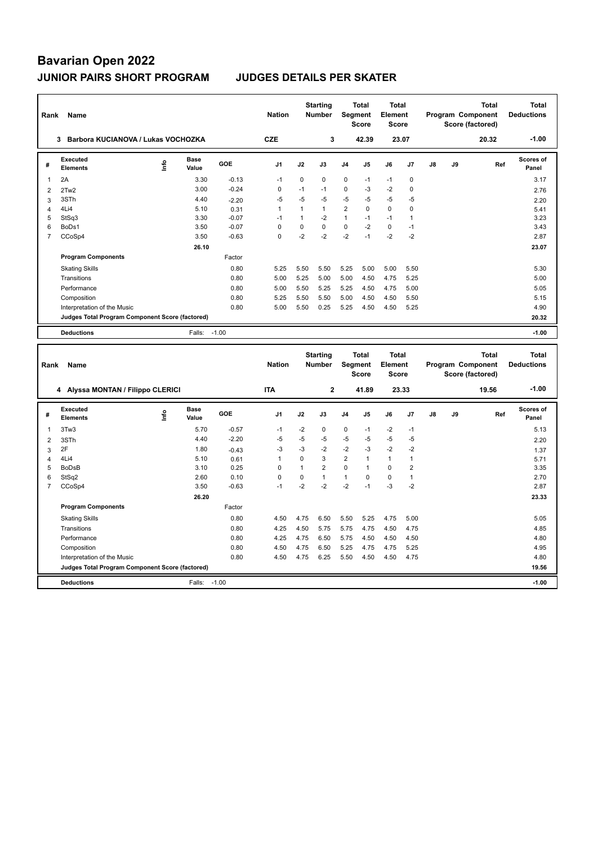| Rank           | Name                                            |    |                      |         | <b>Nation</b>  |              | <b>Starting</b><br><b>Number</b> |                | <b>Total</b><br>Segment<br><b>Score</b> | <b>Total</b><br>Element<br><b>Score</b> |                |               |    | <b>Total</b><br>Program Component<br>Score (factored) | <b>Total</b><br><b>Deductions</b> |
|----------------|-------------------------------------------------|----|----------------------|---------|----------------|--------------|----------------------------------|----------------|-----------------------------------------|-----------------------------------------|----------------|---------------|----|-------------------------------------------------------|-----------------------------------|
|                | Barbora KUCIANOVA / Lukas VOCHOZKA<br>3         |    |                      |         | <b>CZE</b>     |              | 3                                |                | 42.39                                   |                                         | 23.07          |               |    | 20.32                                                 | $-1.00$                           |
| #              | <b>Executed</b><br><b>Elements</b>              | ۴  | <b>Base</b><br>Value | GOE     | J <sub>1</sub> | J2           | J3                               | J <sub>4</sub> | J <sub>5</sub>                          | J6                                      | J <sub>7</sub> | $\mathsf{J}8$ | J9 | Ref                                                   | <b>Scores of</b><br>Panel         |
| 1              | 2A                                              |    | 3.30                 | $-0.13$ | $-1$           | $\mathbf 0$  | 0                                | $\pmb{0}$      | $-1$                                    | $-1$                                    | $\pmb{0}$      |               |    |                                                       | 3.17                              |
| $\overline{2}$ | 2Tw2                                            |    | 3.00                 | $-0.24$ | 0              | $-1$         | $-1$                             | $\mathbf 0$    | $-3$                                    | $-2$                                    | 0              |               |    |                                                       | 2.76                              |
| 3              | 3STh                                            |    | 4.40                 | $-2.20$ | $-5$           | $-5$         | $-5$                             | $-5$           | -5                                      | $-5$                                    | $-5$           |               |    |                                                       | 2.20                              |
| 4              | 4Li4                                            |    | 5.10                 | 0.31    | $\mathbf{1}$   | $\mathbf{1}$ | $\mathbf{1}$                     | $\overline{2}$ | $\Omega$                                | $\Omega$                                | $\mathbf 0$    |               |    |                                                       | 5.41                              |
| 5              | StSq3                                           |    | 3.30                 | $-0.07$ | $-1$           | $\mathbf{1}$ | $-2$                             | $\mathbf{1}$   | $-1$                                    | $-1$                                    | $\overline{1}$ |               |    |                                                       | 3.23                              |
| 6              | BoDs1                                           |    | 3.50                 | $-0.07$ | $\Omega$       | $\mathbf 0$  | $\mathbf 0$                      | $\Omega$       | $-2$                                    | $\mathbf 0$                             | $-1$           |               |    |                                                       | 3.43                              |
| $\overline{7}$ | CCoSp4                                          |    | 3.50                 | $-0.63$ | $\Omega$       | $-2$         | $-2$                             | $-2$           | $-1$                                    | $-2$                                    | $-2$           |               |    |                                                       | 2.87                              |
|                |                                                 |    | 26.10                |         |                |              |                                  |                |                                         |                                         |                |               |    |                                                       | 23.07                             |
|                | <b>Program Components</b>                       |    |                      | Factor  |                |              |                                  |                |                                         |                                         |                |               |    |                                                       |                                   |
|                | <b>Skating Skills</b>                           |    |                      | 0.80    | 5.25           | 5.50         | 5.50                             | 5.25           | 5.00                                    | 5.00                                    | 5.50           |               |    |                                                       | 5.30                              |
|                | Transitions                                     |    |                      | 0.80    | 5.00           | 5.25         | 5.00                             | 5.00           | 4.50                                    | 4.75                                    | 5.25           |               |    |                                                       | 5.00                              |
|                | Performance                                     |    |                      | 0.80    | 5.00           | 5.50         | 5.25                             | 5.25           | 4.50                                    | 4.75                                    | 5.00           |               |    |                                                       | 5.05                              |
|                | Composition                                     |    |                      | 0.80    | 5.25           | 5.50         | 5.50                             | 5.00           | 4.50                                    | 4.50                                    | 5.50           |               |    |                                                       | 5.15                              |
|                | Interpretation of the Music                     |    |                      | 0.80    | 5.00           | 5.50         | 0.25                             | 5.25           | 4.50                                    | 4.50                                    | 5.25           |               |    |                                                       | 4.90                              |
|                | Judges Total Program Component Score (factored) |    |                      |         |                |              |                                  |                |                                         |                                         |                |               |    |                                                       | 20.32                             |
|                |                                                 |    |                      |         |                |              |                                  |                |                                         |                                         |                |               |    |                                                       |                                   |
|                | <b>Deductions</b>                               |    | Falls:               | $-1.00$ |                |              |                                  |                |                                         |                                         |                |               |    |                                                       | $-1.00$                           |
|                |                                                 |    |                      |         |                |              |                                  |                |                                         |                                         |                |               |    |                                                       |                                   |
| Rank           | Name                                            |    |                      |         | <b>Nation</b>  |              | <b>Starting</b><br><b>Number</b> |                | <b>Total</b><br>Segment<br><b>Score</b> | <b>Total</b><br>Element<br><b>Score</b> |                |               |    | <b>Total</b><br>Program Component<br>Score (factored) | <b>Total</b><br><b>Deductions</b> |
|                | 4 Alyssa MONTAN / Filippo CLERICI               |    |                      |         | <b>ITA</b>     |              | 2                                |                | 41.89                                   |                                         | 23.33          |               |    | 19.56                                                 | $-1.00$                           |
| #              | <b>Executed</b><br><b>Elements</b>              | ۴ů | <b>Base</b><br>Value | GOE     | J <sub>1</sub> | J2           | J3                               | J <sub>4</sub> | J <sub>5</sub>                          | J6                                      | J <sub>7</sub> | $\mathsf{J}8$ | J9 | Ref                                                   | <b>Scores of</b><br>Panel         |
| 1              | 3Tw3                                            |    | 5.70                 | $-0.57$ | $-1$           | -2           | 0                                | 0              | $-1$                                    | $-2$                                    | $-1$           |               |    |                                                       | 5.13                              |

|   | 4Li4                                            | 5.10   | 0.61    |      | 0    | 3    | $\overline{2}$ |      |      |                | 5.71    |
|---|-------------------------------------------------|--------|---------|------|------|------|----------------|------|------|----------------|---------|
| 5 | <b>BoDsB</b>                                    | 3.10   | 0.25    | 0    |      | 2    | $\mathbf 0$    |      | 0    | $\overline{2}$ | 3.35    |
| 6 | StSq2                                           | 2.60   | 0.10    | 0    | 0    |      |                | 0    | 0    |                | 2.70    |
|   | CCoSp4                                          | 3.50   | $-0.63$ | -1   | $-2$ | $-2$ | $-2$           | $-1$ | $-3$ | $-2$           | 2.87    |
|   |                                                 | 26.20  |         |      |      |      |                |      |      |                | 23.33   |
|   | <b>Program Components</b>                       |        | Factor  |      |      |      |                |      |      |                |         |
|   | <b>Skating Skills</b>                           |        | 0.80    | 4.50 | 4.75 | 6.50 | 5.50           | 5.25 | 4.75 | 5.00           | 5.05    |
|   | Transitions                                     |        | 0.80    | 4.25 | 4.50 | 5.75 | 5.75           | 4.75 | 4.50 | 4.75           | 4.85    |
|   | Performance                                     |        | 0.80    | 4.25 | 4.75 | 6.50 | 5.75           | 4.50 | 4.50 | 4.50           | 4.80    |
|   | Composition                                     |        | 0.80    | 4.50 | 4.75 | 6.50 | 5.25           | 4.75 | 4.75 | 5.25           | 4.95    |
|   | Interpretation of the Music                     |        | 0.80    | 4.50 | 4.75 | 6.25 | 5.50           | 4.50 | 4.50 | 4.75           | 4.80    |
|   | Judges Total Program Component Score (factored) |        |         |      |      |      |                |      |      |                | 19.56   |
|   | <b>Deductions</b>                               | Falls: | $-1.00$ |      |      |      |                |      |      |                | $-1.00$ |

2 3STh 4.40 -2.20 -5 -5 -5 -5 -5 -5 -5 2.20  $3$  2F 2 -1.37  $-0.43$   $-3$   $-3$   $-2$   $-2$   $-3$   $-2$   $-2$   $-2$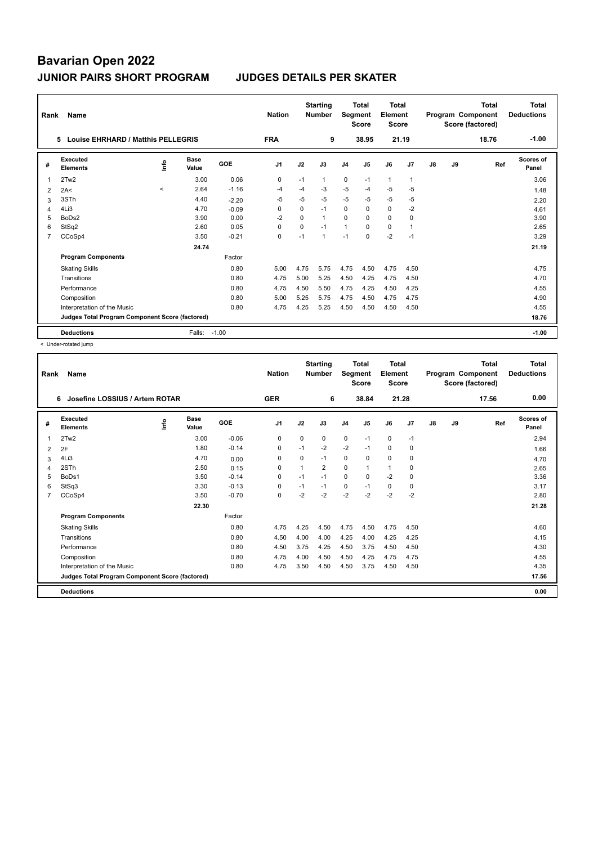| Rank                                            | Name                                    |         |                      |         | <b>Nation</b>  |          | <b>Starting</b><br><b>Number</b> | <b>Segment</b> | <b>Total</b><br><b>Score</b> | <b>Total</b><br>Element<br><b>Score</b> |                |    |       | <b>Total</b><br>Program Component<br>Score (factored) | <b>Total</b><br><b>Deductions</b> |
|-------------------------------------------------|-----------------------------------------|---------|----------------------|---------|----------------|----------|----------------------------------|----------------|------------------------------|-----------------------------------------|----------------|----|-------|-------------------------------------------------------|-----------------------------------|
|                                                 | Louise EHRHARD / Matthis PELLEGRIS<br>5 |         |                      |         | <b>FRA</b>     |          | 9                                |                | 38.95                        | 21.19                                   |                |    |       | 18.76                                                 | $-1.00$                           |
| #                                               | Executed<br><b>Elements</b>             | ۴ů      | <b>Base</b><br>Value | GOE     | J <sub>1</sub> | J2       | J3                               | J <sub>4</sub> | J5                           | J6                                      | J7             | J8 | J9    | Ref                                                   | <b>Scores of</b><br>Panel         |
| 1                                               | 2Tw2                                    |         | 3.00                 | 0.06    | $\Omega$       | $-1$     | 1                                | $\mathbf 0$    | $-1$                         | $\mathbf{1}$                            | $\mathbf{1}$   |    |       |                                                       | 3.06                              |
| 2                                               | 2A<                                     | $\prec$ | 2.64                 | $-1.16$ | -4             | $-4$     | $-3$                             | $-5$           | $-4$                         | $-5$                                    | $-5$           |    |       |                                                       | 1.48                              |
| 3                                               | 3STh                                    |         | 4.40                 | $-2.20$ | $-5$           | $-5$     | $-5$                             | $-5$           | $-5$                         | $-5$                                    | $-5$           |    |       |                                                       | 2.20                              |
| 4                                               | 4Li3                                    |         | 4.70                 | $-0.09$ | $\Omega$       | $\Omega$ | $-1$                             | $\Omega$       | $\Omega$                     | $\Omega$                                | $-2$           |    |       |                                                       | 4.61                              |
| 5                                               | BoDs2                                   |         | 3.90                 | 0.00    | $-2$           | $\Omega$ | 1                                | $\mathbf 0$    | $\Omega$                     | 0                                       | 0              |    |       |                                                       | 3.90                              |
| 6                                               | StSq2                                   |         | 2.60                 | 0.05    | 0              | 0        | $-1$                             | $\mathbf{1}$   | $\Omega$                     | 0                                       | $\overline{1}$ |    |       |                                                       | 2.65                              |
| 7                                               | CCoSp4                                  |         | 3.50                 | $-0.21$ | 0              | $-1$     | 1                                | $-1$           | $\Omega$                     | $-2$                                    | $-1$           |    |       |                                                       | 3.29                              |
|                                                 |                                         |         | 24.74                |         |                |          |                                  |                |                              |                                         |                |    |       |                                                       | 21.19                             |
|                                                 | <b>Program Components</b>               |         |                      | Factor  |                |          |                                  |                |                              |                                         |                |    |       |                                                       |                                   |
|                                                 | <b>Skating Skills</b>                   |         |                      | 0.80    | 5.00           | 4.75     | 5.75                             | 4.75           | 4.50                         | 4.75                                    | 4.50           |    |       |                                                       | 4.75                              |
|                                                 | Transitions                             |         |                      | 0.80    | 4.75           | 5.00     | 5.25                             | 4.50           | 4.25                         | 4.75                                    | 4.50           |    |       |                                                       | 4.70                              |
|                                                 | Performance                             |         |                      | 0.80    | 4.75           | 4.50     | 5.50                             | 4.75           | 4.25                         | 4.50                                    | 4.25           |    |       |                                                       | 4.55                              |
|                                                 | Composition                             |         |                      | 0.80    | 5.00           | 5.25     | 5.75                             | 4.75           | 4.50                         | 4.75                                    | 4.75           |    |       |                                                       | 4.90                              |
|                                                 | Interpretation of the Music             |         |                      | 0.80    | 4.75           | 4.25     | 5.25                             | 4.50           | 4.50                         | 4.50                                    | 4.50           |    |       |                                                       | 4.55                              |
| Judges Total Program Component Score (factored) |                                         |         |                      |         |                |          |                                  |                |                              |                                         |                |    | 18.76 |                                                       |                                   |
|                                                 | <b>Deductions</b>                       |         | Falls:               | $-1.00$ |                |          |                                  |                |                              |                                         |                |    |       |                                                       | $-1.00$                           |

< Under-rotated jump

|                | Name<br>Rank                                    |      |                      |            |                |                | <b>Starting</b><br><b>Nation</b><br><b>Number</b> |                | Total<br><b>Segment</b><br><b>Score</b> | <b>Total</b><br>Element<br><b>Score</b> |                | Program Component |    | <b>Total</b><br>Score (factored) | <b>Total</b><br><b>Deductions</b> |
|----------------|-------------------------------------------------|------|----------------------|------------|----------------|----------------|---------------------------------------------------|----------------|-----------------------------------------|-----------------------------------------|----------------|-------------------|----|----------------------------------|-----------------------------------|
|                | Josefine LOSSIUS / Artem ROTAR<br>6             |      |                      |            | <b>GER</b>     |                | 6                                                 |                | 38.84                                   |                                         | 21.28          |                   |    | 17.56                            | 0.00                              |
| #              | Executed<br><b>Elements</b>                     | ١nf٥ | <b>Base</b><br>Value | <b>GOE</b> | J <sub>1</sub> | J2             | J3                                                | J <sub>4</sub> | J <sub>5</sub>                          | J6                                      | J <sub>7</sub> | J8                | J9 | Ref                              | Scores of<br>Panel                |
| 1              | 2Tw2                                            |      | 3.00                 | $-0.06$    | 0              | 0              | 0                                                 | $\mathbf 0$    | $-1$                                    | $\mathbf 0$                             | $-1$           |                   |    |                                  | 2.94                              |
| 2              | 2F                                              |      | 1.80                 | $-0.14$    | 0              | $-1$           | $-2$                                              | $-2$           | $-1$                                    | $\mathbf 0$                             | 0              |                   |    |                                  | 1.66                              |
| 3              | 4Li3                                            |      | 4.70                 | 0.00       | $\Omega$       | $\Omega$       | $-1$                                              | 0              | 0                                       | 0                                       | 0              |                   |    |                                  | 4.70                              |
| 4              | 2STh                                            |      | 2.50                 | 0.15       | $\Omega$       | $\overline{1}$ | $\overline{2}$                                    | $\Omega$       | $\mathbf{1}$                            | 1                                       | $\Omega$       |                   |    |                                  | 2.65                              |
| 5              | BoDs1                                           |      | 3.50                 | $-0.14$    | $\Omega$       | $-1$           | $-1$                                              | 0              | $\Omega$                                | $-2$                                    | $\Omega$       |                   |    |                                  | 3.36                              |
| 6              | StSq3                                           |      | 3.30                 | $-0.13$    | $\mathbf 0$    | $-1$           | $-1$                                              | $\mathbf 0$    | $-1$                                    | $\mathbf 0$                             | 0              |                   |    |                                  | 3.17                              |
| $\overline{7}$ | CCoSp4                                          |      | 3.50                 | $-0.70$    | $\Omega$       | $-2$           | $-2$                                              | $-2$           | $-2$                                    | $-2$                                    | $-2$           |                   |    |                                  | 2.80                              |
|                |                                                 |      | 22.30                |            |                |                |                                                   |                |                                         |                                         |                |                   |    |                                  | 21.28                             |
|                | <b>Program Components</b>                       |      |                      | Factor     |                |                |                                                   |                |                                         |                                         |                |                   |    |                                  |                                   |
|                | <b>Skating Skills</b>                           |      |                      | 0.80       | 4.75           | 4.25           | 4.50                                              | 4.75           | 4.50                                    | 4.75                                    | 4.50           |                   |    |                                  | 4.60                              |
|                | Transitions                                     |      |                      | 0.80       | 4.50           | 4.00           | 4.00                                              | 4.25           | 4.00                                    | 4.25                                    | 4.25           |                   |    |                                  | 4.15                              |
|                | Performance                                     |      |                      | 0.80       | 4.50           | 3.75           | 4.25                                              | 4.50           | 3.75                                    | 4.50                                    | 4.50           |                   |    |                                  | 4.30                              |
|                | Composition                                     |      |                      | 0.80       | 4.75           | 4.00           | 4.50                                              | 4.50           | 4.25                                    | 4.75                                    | 4.75           |                   |    |                                  | 4.55                              |
|                | Interpretation of the Music                     |      |                      | 0.80       | 4.75           | 3.50           | 4.50                                              | 4.50           | 3.75                                    | 4.50                                    | 4.50           |                   |    |                                  | 4.35                              |
|                | Judges Total Program Component Score (factored) |      |                      |            |                |                |                                                   |                |                                         |                                         |                |                   |    |                                  | 17.56                             |
|                | <b>Deductions</b>                               |      |                      |            |                |                |                                                   |                |                                         |                                         |                |                   |    |                                  | 0.00                              |
|                |                                                 |      |                      |            |                |                |                                                   |                |                                         |                                         |                |                   |    |                                  |                                   |